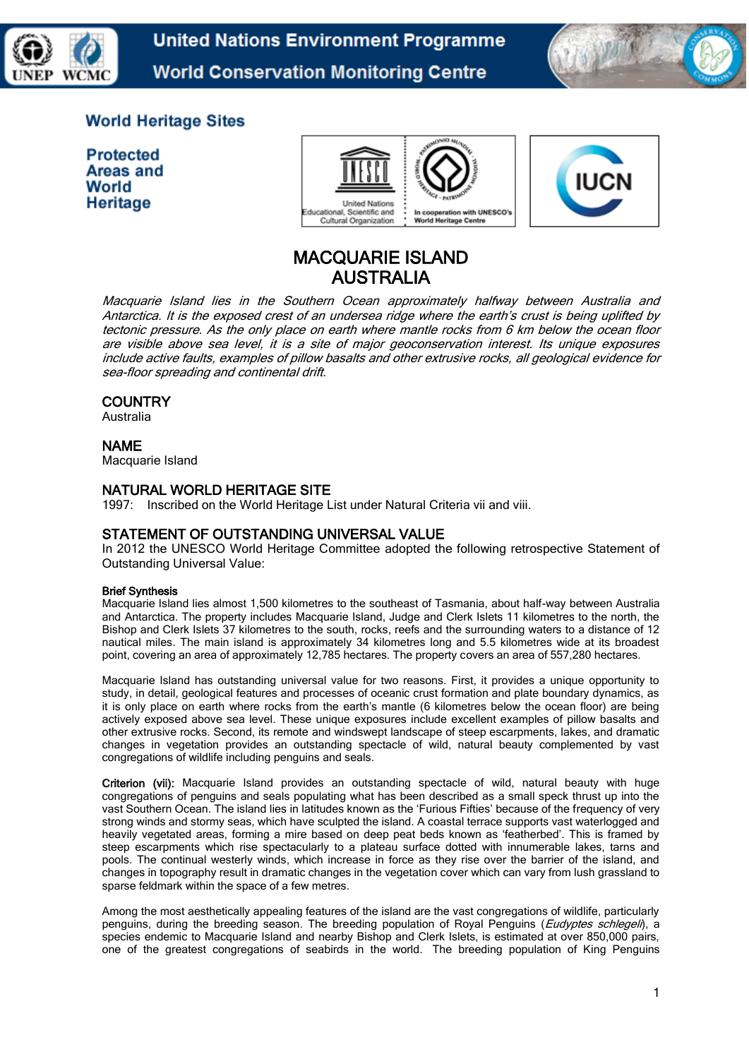

**United Nations Environment Programme World Conservation Monitoring Centre** 



# **World Heritage Sites**

**Protected** Areas and World Heritage



# MACQUARIE ISLAND AUSTRALIA

Macquarie Island lies in the Southern Ocean approximately halfway between Australia and Antarctica. It is the exposed crest of an undersea ridge where the earth's crust is being uplifted by tectonic pressure. As the only place on earth where mantle rocks from 6 km below the ocean floor are visible above sea level, it is a site of major geoconservation interest. Its unique exposures include active faults, examples of pillow basalts and other extrusive rocks, all geological evidence for sea-floor spreading and continental drift.

### **COUNTRY**

Australia

### NAME

Macquarie Island

### NATURAL WORLD HERITAGE SITE

1997: Inscribed on the World Heritage List under Natural Criteria vii and viii.

### STATEMENT OF OUTSTANDING UNIVERSAL VALUE

In 2012 the UNESCO World Heritage Committee adopted the following retrospective Statement of Outstanding Universal Value:

#### Brief Synthesis

Macquarie Island lies almost 1,500 kilometres to the southeast of Tasmania, about half-way between Australia and Antarctica. The property includes Macquarie Island, Judge and Clerk Islets 11 kilometres to the north, the Bishop and Clerk Islets 37 kilometres to the south, rocks, reefs and the surrounding waters to a distance of 12 nautical miles. The main island is approximately 34 kilometres long and 5.5 kilometres wide at its broadest point, covering an area of approximately 12,785 hectares. The property covers an area of 557,280 hectares.

Macquarie Island has outstanding universal value for two reasons. First, it provides a unique opportunity to study, in detail, geological features and processes of oceanic crust formation and plate boundary dynamics, as it is only place on earth where rocks from the earth's mantle (6 kilometres below the ocean floor) are being actively exposed above sea level. These unique exposures include excellent examples of pillow basalts and other extrusive rocks. Second, its remote and windswept landscape of steep escarpments, lakes, and dramatic changes in vegetation provides an outstanding spectacle of wild, natural beauty complemented by vast congregations of wildlife including penguins and seals.

Criterion (vii): Macquarie Island provides an outstanding spectacle of wild, natural beauty with huge congregations of penguins and seals populating what has been described as a small speck thrust up into the vast Southern Ocean. The island lies in latitudes known as the 'Furious Fifties' because of the frequency of very strong winds and stormy seas, which have sculpted the island. A coastal terrace supports vast waterlogged and heavily vegetated areas, forming a mire based on deep peat beds known as 'featherbed'. This is framed by steep escarpments which rise spectacularly to a plateau surface dotted with innumerable lakes, tarns and pools. The continual westerly winds, which increase in force as they rise over the barrier of the island, and changes in topography result in dramatic changes in the vegetation cover which can vary from lush grassland to sparse feldmark within the space of a few metres.

Among the most aesthetically appealing features of the island are the vast congregations of wildlife, particularly penguins, during the breeding season. The breeding population of Royal Penguins (Eudyptes schlegeli), a species endemic to Macquarie Island and nearby Bishop and Clerk Islets, is estimated at over 850,000 pairs, one of the greatest congregations of seabirds in the world. The breeding population of King Penguins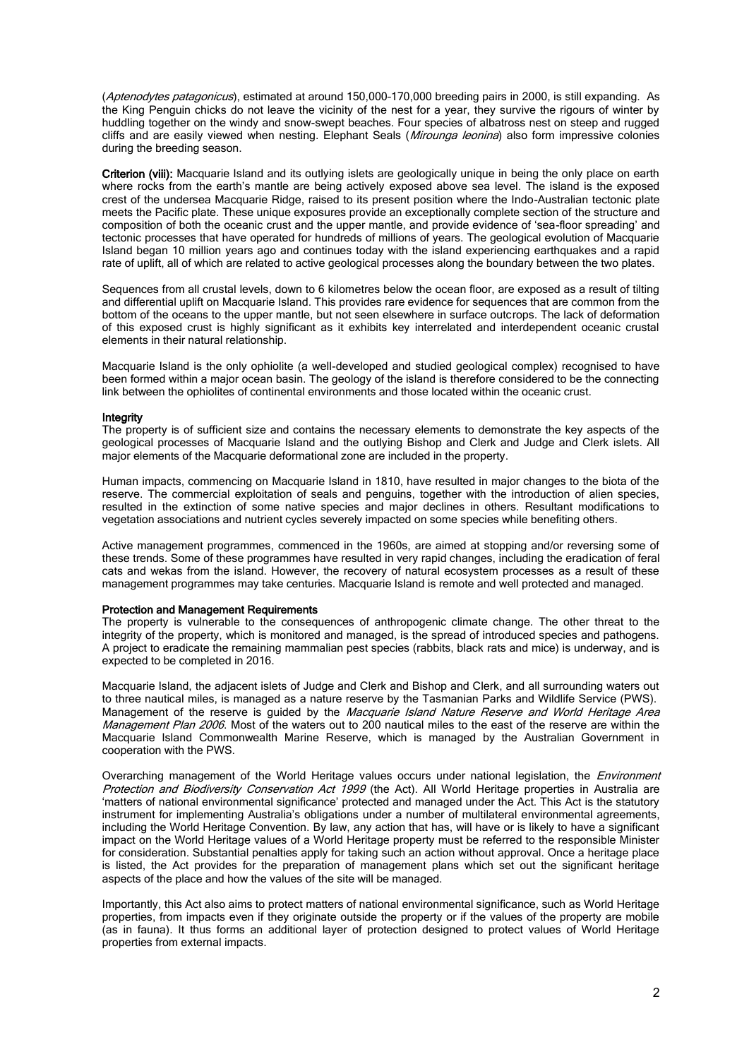(Aptenodytes patagonicus), estimated at around 150,000-170,000 breeding pairs in 2000, is still expanding. As the King Penguin chicks do not leave the vicinity of the nest for a year, they survive the rigours of winter by huddling together on the windy and snow-swept beaches. Four species of albatross nest on steep and rugged cliffs and are easily viewed when nesting. Elephant Seals (Mirounga leonina) also form impressive colonies during the breeding season.

Criterion (viii): Macquarie Island and its outlying islets are geologically unique in being the only place on earth where rocks from the earth's mantle are being actively exposed above sea level. The island is the exposed crest of the undersea Macquarie Ridge, raised to its present position where the Indo-Australian tectonic plate meets the Pacific plate. These unique exposures provide an exceptionally complete section of the structure and composition of both the oceanic crust and the upper mantle, and provide evidence of 'sea-floor spreading' and tectonic processes that have operated for hundreds of millions of years. The geological evolution of Macquarie Island began 10 million years ago and continues today with the island experiencing earthquakes and a rapid rate of uplift, all of which are related to active geological processes along the boundary between the two plates.

Sequences from all crustal levels, down to 6 kilometres below the ocean floor, are exposed as a result of tilting and differential uplift on Macquarie Island. This provides rare evidence for sequences that are common from the bottom of the oceans to the upper mantle, but not seen elsewhere in surface outcrops. The lack of deformation of this exposed crust is highly significant as it exhibits key interrelated and interdependent oceanic crustal elements in their natural relationship.

Macquarie Island is the only ophiolite (a well-developed and studied geological complex) recognised to have been formed within a major ocean basin. The geology of the island is therefore considered to be the connecting link between the ophiolites of continental environments and those located within the oceanic crust.

#### **Integrity**

The property is of sufficient size and contains the necessary elements to demonstrate the key aspects of the geological processes of Macquarie Island and the outlying Bishop and Clerk and Judge and Clerk islets. All major elements of the Macquarie deformational zone are included in the property.

Human impacts, commencing on Macquarie Island in 1810, have resulted in major changes to the biota of the reserve. The commercial exploitation of seals and penguins, together with the introduction of alien species, resulted in the extinction of some native species and major declines in others. Resultant modifications to vegetation associations and nutrient cycles severely impacted on some species while benefiting others.

Active management programmes, commenced in the 1960s, are aimed at stopping and/or reversing some of these trends. Some of these programmes have resulted in very rapid changes, including the eradication of feral cats and wekas from the island. However, the recovery of natural ecosystem processes as a result of these management programmes may take centuries. Macquarie Island is remote and well protected and managed.

#### Protection and Management Requirements

The property is vulnerable to the consequences of anthropogenic climate change. The other threat to the integrity of the property, which is monitored and managed, is the spread of introduced species and pathogens. A project to eradicate the remaining mammalian pest species (rabbits, black rats and mice) is underway, and is expected to be completed in 2016.

Macquarie Island, the adjacent islets of Judge and Clerk and Bishop and Clerk, and all surrounding waters out to three nautical miles, is managed as a nature reserve by the Tasmanian Parks and Wildlife Service (PWS). Management of the reserve is guided by the Macquarie Island Nature Reserve and World Heritage Area Management Plan 2006. Most of the waters out to 200 nautical miles to the east of the reserve are within the Macquarie Island Commonwealth Marine Reserve, which is managed by the Australian Government in cooperation with the PWS.

Overarching management of the World Heritage values occurs under national legislation, the *Environment* Protection and Biodiversity Conservation Act 1999 (the Act). All World Heritage properties in Australia are 'matters of national environmental significance' protected and managed under the Act. This Act is the statutory instrument for implementing Australia's obligations under a number of multilateral environmental agreements, including the World Heritage Convention. By law, any action that has, will have or is likely to have a significant impact on the World Heritage values of a World Heritage property must be referred to the responsible Minister for consideration. Substantial penalties apply for taking such an action without approval. Once a heritage place is listed, the Act provides for the preparation of management plans which set out the significant heritage aspects of the place and how the values of the site will be managed.

Importantly, this Act also aims to protect matters of national environmental significance, such as World Heritage properties, from impacts even if they originate outside the property or if the values of the property are mobile (as in fauna). It thus forms an additional layer of protection designed to protect values of World Heritage properties from external impacts.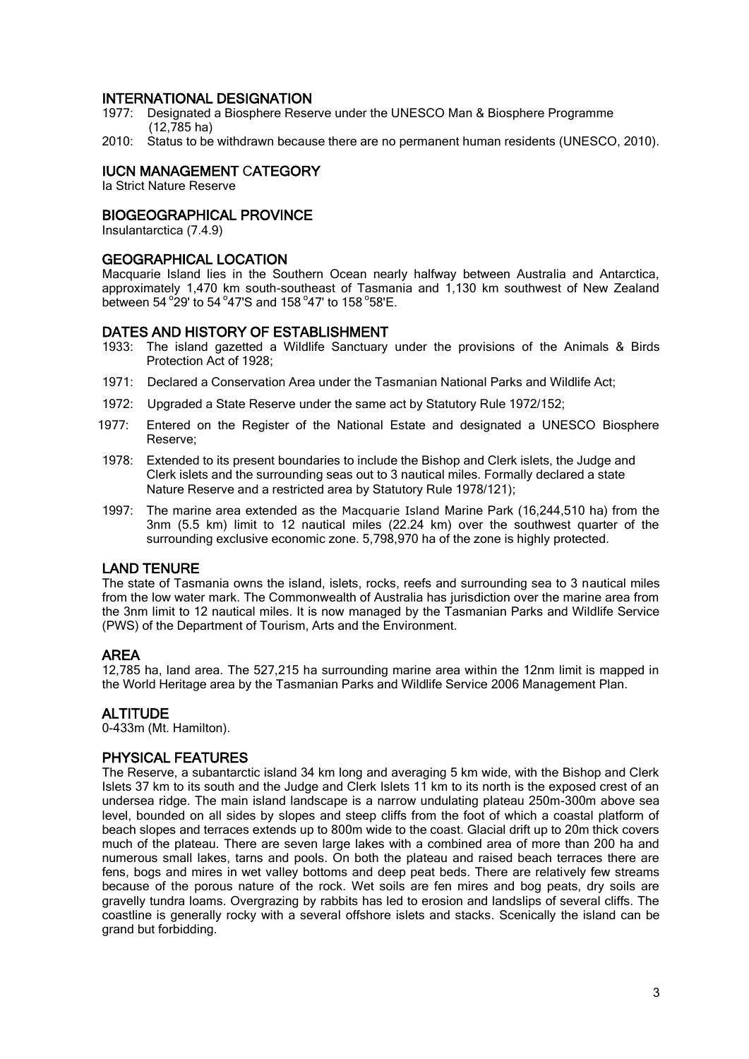### INTERNATIONAL DESIGNATION

- 1977: Designated a Biosphere Reserve under the UNESCO Man & Biosphere Programme  $(12,785$  ha)
- 2010: Status to be withdrawn because there are no permanent human residents (UNESCO, 2010).

## IUCN MANAGEMENT CATEGORY

Ia Strict Nature Reserve

## BIOGEOGRAPHICAL PROVINCE

Insulantarctica (7.4.9)

#### GEOGRAPHICAL LOCATION

Macquarie Island lies in the Southern Ocean nearly halfway between Australia and Antarctica, approximately 1,470 km south-southeast of Tasmania and 1,130 km southwest of New Zealand between 54 $\degree$ 29' to 54 $\degree$ 47'S and 158 $\degree$ 47' to 158 $\degree$ 58'E.

#### DATES AND HISTORY OF ESTABLISHMENT

- 1933: The island gazetted a Wildlife Sanctuary under the provisions of the Animals & Birds Protection Act of 1928;
- 1971: Declared a Conservation Area under the Tasmanian National Parks and Wildlife Act;
- 1972: Upgraded a State Reserve under the same act by Statutory Rule 1972/152;
- 1977: Entered on the Register of the National Estate and designated a UNESCO Biosphere Reserve;
- 1978: Extended to its present boundaries to include the Bishop and Clerk islets, the Judge and Clerk islets and the surrounding seas out to 3 nautical miles. Formally declared a state Nature Reserve and a restricted area by Statutory Rule 1978/121);
- 1997: The marine area extended as the Macquarie Island Marine Park (16,244,510 ha) from the 3nm (5.5 km) limit to 12 nautical miles (22.24 km) over the southwest quarter of the surrounding exclusive economic zone. 5,798,970 ha of the zone is highly protected.

### LAND TENURE

The state of Tasmania owns the island, islets, rocks, reefs and surrounding sea to 3 nautical miles from the low water mark. The Commonwealth of Australia has jurisdiction over the marine area from the 3nm limit to 12 nautical miles. It is now managed by the Tasmanian Parks and Wildlife Service (PWS) of the Department of Tourism, Arts and the Environment.

### AREA

12,785 ha, land area. The 527,215 ha surrounding marine area within the 12nm limit is mapped in the World Heritage area by the Tasmanian Parks and Wildlife Service 2006 Management Plan.

### ALTITUDE

0-433m (Mt. Hamilton).

### PHYSICAL FEATURES

The Reserve, a subantarctic island 34 km long and averaging 5 km wide, with the Bishop and Clerk Islets 37 km to its south and the Judge and Clerk Islets 11 km to its north is the exposed crest of an undersea ridge. The main island landscape is a narrow undulating plateau 250m-300m above sea level, bounded on all sides by slopes and steep cliffs from the foot of which a coastal platform of beach slopes and terraces extends up to 800m wide to the coast. Glacial drift up to 20m thick covers much of the plateau. There are seven large lakes with a combined area of more than 200 ha and numerous small lakes, tarns and pools. On both the plateau and raised beach terraces there are fens, bogs and mires in wet valley bottoms and deep peat beds. There are relatively few streams because of the porous nature of the rock. Wet soils are fen mires and bog peats, dry soils are gravelly tundra loams. Overgrazing by rabbits has led to erosion and landslips of several cliffs. The coastline is generally rocky with a several offshore islets and stacks. Scenically the island can be grand but forbidding.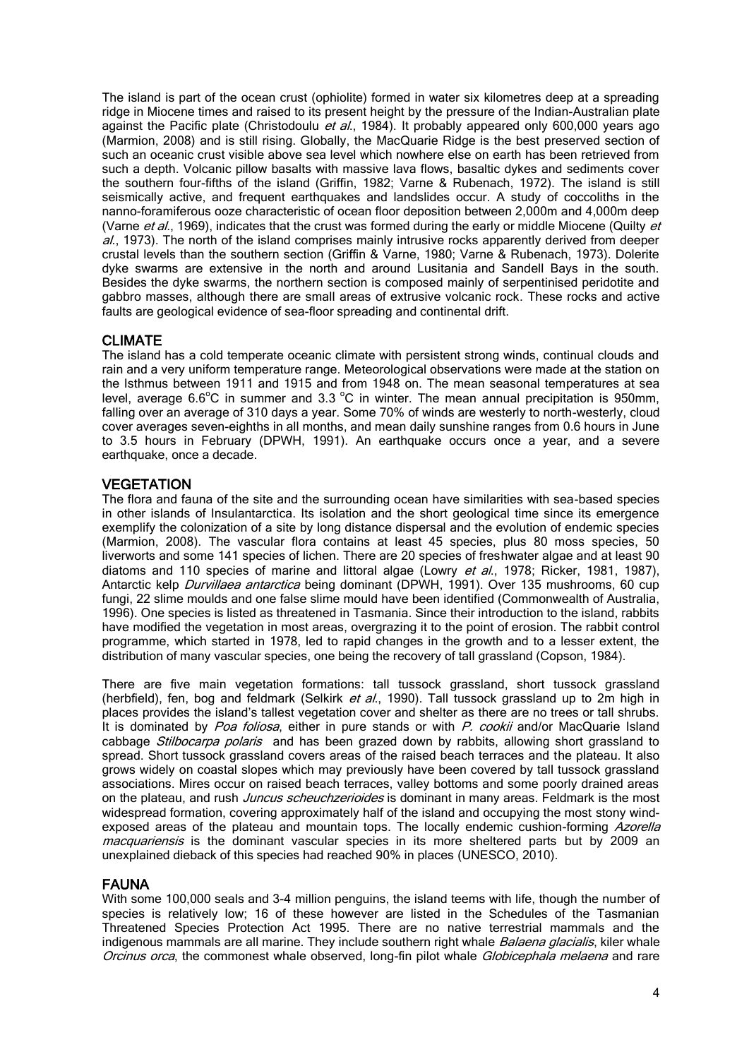The island is part of the ocean crust (ophiolite) formed in water six kilometres deep at a spreading ridge in Miocene times and raised to its present height by the pressure of the Indian-Australian plate against the Pacific plate (Christodoulu et al., 1984). It probably appeared only 600,000 years ago (Marmion, 2008) and is still rising. Globally, the MacQuarie Ridge is the best preserved section of such an oceanic crust visible above sea level which nowhere else on earth has been retrieved from such a depth. Volcanic pillow basalts with massive lava flows, basaltic dykes and sediments cover the southern four-fifths of the island (Griffin, 1982; Varne & Rubenach, 1972). The island is still seismically active, and frequent earthquakes and landslides occur. A study of coccoliths in the nanno-foramiferous ooze characteristic of ocean floor deposition between 2,000m and 4,000m deep (Varne et al., 1969), indicates that the crust was formed during the early or middle Miocene (Quilty et  $a$ ., 1973). The north of the island comprises mainly intrusive rocks apparently derived from deeper crustal levels than the southern section (Griffin & Varne, 1980; Varne & Rubenach, 1973). Dolerite dyke swarms are extensive in the north and around Lusitania and Sandell Bays in the south. Besides the dyke swarms, the northern section is composed mainly of serpentinised peridotite and gabbro masses, although there are small areas of extrusive volcanic rock. These rocks and active faults are geological evidence of sea-floor spreading and continental drift.

## CLIMATE

The island has a cold temperate oceanic climate with persistent strong winds, continual clouds and rain and a very uniform temperature range. Meteorological observations were made at the station on the Isthmus between 1911 and 1915 and from 1948 on. The mean seasonal temperatures at sea level, average  $6.6^{\circ}$ C in summer and  $3.3^{\circ}$ C in winter. The mean annual precipitation is 950mm, falling over an average of 310 days a year. Some 70% of winds are westerly to north-westerly, cloud cover averages seven-eighths in all months, and mean daily sunshine ranges from 0.6 hours in June to 3.5 hours in February (DPWH, 1991). An earthquake occurs once a year, and a severe earthquake, once a decade.

### **VEGETATION**

The flora and fauna of the site and the surrounding ocean have similarities with sea-based species in other islands of Insulantarctica. Its isolation and the short geological time since its emergence exemplify the colonization of a site by long distance dispersal and the evolution of endemic species (Marmion, 2008). The vascular flora contains at least 45 species, plus 80 moss species, 50 liverworts and some 141 species of lichen. There are 20 species of freshwater algae and at least 90 diatoms and 110 species of marine and littoral algae (Lowry et al., 1978; Ricker, 1981, 1987), Antarctic kelp *Durvillaea antarctica* being dominant (DPWH, 1991). Over 135 mushrooms, 60 cup fungi, 22 slime moulds and one false slime mould have been identified (Commonwealth of Australia, 1996). One species is listed as threatened in Tasmania. Since their introduction to the island, rabbits have modified the vegetation in most areas, overgrazing it to the point of erosion. The rabbit control programme, which started in 1978, led to rapid changes in the growth and to a lesser extent, the distribution of many vascular species, one being the recovery of tall grassland (Copson, 1984).

There are five main vegetation formations: tall tussock grassland, short tussock grassland (herbfield), fen, bog and feldmark (Selkirk et  $a$ . 1990). Tall tussock grassland up to 2m high in places provides the island's tallest vegetation cover and shelter as there are no trees or tall shrubs. It is dominated by Poa foliosa, either in pure stands or with P. cookii and/or MacQuarie Island cabbage *Stilbocarpa polaris* and has been grazed down by rabbits, allowing short grassland to spread. Short tussock grassland covers areas of the raised beach terraces and the plateau. It also grows widely on coastal slopes which may previously have been covered by tall tussock grassland associations. Mires occur on raised beach terraces, valley bottoms and some poorly drained areas on the plateau, and rush *Juncus scheuchzerioides* is dominant in many areas. Feldmark is the most widespread formation, covering approximately half of the island and occupying the most stony windexposed areas of the plateau and mountain tops. The locally endemic cushion-forming Azorella macquariensis is the dominant vascular species in its more sheltered parts but by 2009 an unexplained dieback of this species had reached 90% in places (UNESCO, 2010).

### FAUNA

With some 100,000 seals and 3-4 million penguins, the island teems with life, though the number of species is relatively low; 16 of these however are listed in the Schedules of the Tasmanian Threatened Species Protection Act 1995. There are no native terrestrial mammals and the indigenous mammals are all marine. They include southern right whale *Balaena glacialis*, kiler whale Orcinus orca, the commonest whale observed, long-fin pilot whale Globicephala melaena and rare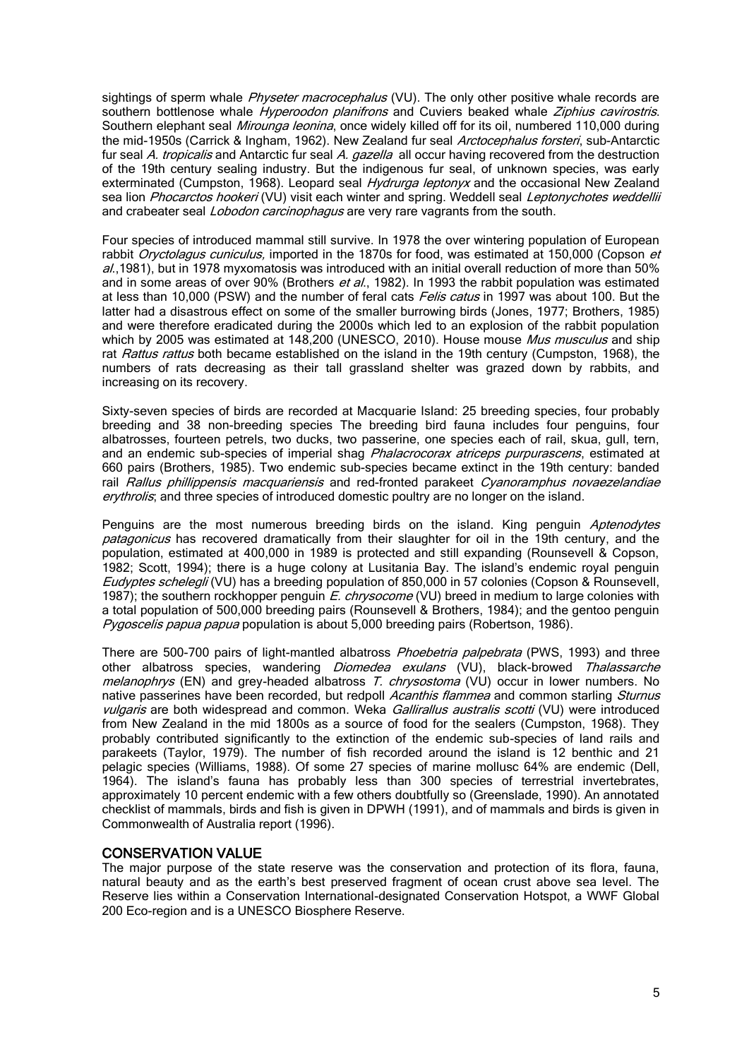sightings of sperm whale Physeter macrocephalus (VU). The only other positive whale records are southern bottlenose whale *Hyperoodon planifrons* and Cuviers beaked whale Ziphius cavirostris. Southern elephant seal *Mirounga leonina*, once widely killed off for its oil, numbered 110,000 during the mid-1950s (Carrick & Ingham, 1962). New Zealand fur seal Arctocephalus forsteri, sub-Antarctic fur seal A. tropicalis and Antarctic fur seal A. gazella all occur having recovered from the destruction of the 19th century sealing industry. But the indigenous fur seal, of unknown species, was early exterminated (Cumpston, 1968). Leopard seal *Hydrurga leptonyx* and the occasional New Zealand sea lion Phocarctos hookeri (VU) visit each winter and spring. Weddell seal Leptonychotes weddellii and crabeater seal *Lobodon carcinophagus* are very rare vagrants from the south.

Four species of introduced mammal still survive. In 1978 the over wintering population of European rabbit *Oryctolagus cuniculus*, imported in the 1870s for food, was estimated at 150,000 (Copson et  $a$ .,1981), but in 1978 myxomatosis was introduced with an initial overall reduction of more than 50% and in some areas of over 90% (Brothers et al., 1982). In 1993 the rabbit population was estimated at less than 10,000 (PSW) and the number of feral cats *Felis catus* in 1997 was about 100. But the latter had a disastrous effect on some of the smaller burrowing birds (Jones, 1977; Brothers, 1985) and were therefore eradicated during the 2000s which led to an explosion of the rabbit population which by 2005 was estimated at 148,200 (UNESCO, 2010). House mouse Mus musculus and ship rat Rattus rattus both became established on the island in the 19th century (Cumpston, 1968), the numbers of rats decreasing as their tall grassland shelter was grazed down by rabbits, and increasing on its recovery.

Sixty-seven species of birds are recorded at Macquarie Island: 25 breeding species, four probably breeding and 38 non-breeding species The breeding bird fauna includes four penguins, four albatrosses, fourteen petrels, two ducks, two passerine, one species each of rail, skua, gull, tern, and an endemic sub-species of imperial shag Phalacrocorax atriceps purpurascens, estimated at 660 pairs (Brothers, 1985). Two endemic sub-species became extinct in the 19th century: banded rail Rallus phillippensis macquariensis and red-fronted parakeet Cyanoramphus novaezelandiae erythrolis; and three species of introduced domestic poultry are no longer on the island.

Penguins are the most numerous breeding birds on the island. King penguin Aptenodytes patagonicus has recovered dramatically from their slaughter for oil in the 19th century, and the population, estimated at 400,000 in 1989 is protected and still expanding (Rounsevell & Copson, 1982; Scott, 1994); there is a huge colony at Lusitania Bay. The island's endemic royal penguin Eudyptes schelegli (VU) has a breeding population of 850,000 in 57 colonies (Copson & Rounsevell, 1987); the southern rockhopper penguin E. chrysocome (VU) breed in medium to large colonies with a total population of 500,000 breeding pairs (Rounsevell & Brothers, 1984); and the gentoo penguin Pygoscelis papua papua population is about 5,000 breeding pairs (Robertson, 1986).

There are 500-700 pairs of light-mantled albatross *Phoebetria palpebrata* (PWS, 1993) and three other albatross species, wandering *Diomedea exulans* (VU), black-browed Thalassarche melanophrys (EN) and grey-headed albatross T. chrysostoma (VU) occur in lower numbers. No native passerines have been recorded, but redpoll Acanthis flammea and common starling Sturnus vulgaris are both widespread and common. Weka Gallirallus australis scotti (VU) were introduced from New Zealand in the mid 1800s as a source of food for the sealers (Cumpston, 1968). They probably contributed significantly to the extinction of the endemic sub-species of land rails and parakeets (Taylor, 1979). The number of fish recorded around the island is 12 benthic and 21 pelagic species (Williams, 1988). Of some 27 species of marine mollusc 64% are endemic (Dell, 1964). The island's fauna has probably less than 300 species of terrestrial invertebrates, approximately 10 percent endemic with a few others doubtfully so (Greenslade, 1990). An annotated checklist of mammals, birds and fish is given in DPWH (1991), and of mammals and birds is given in Commonwealth of Australia report (1996).

### CONSERVATION VALUE

The major purpose of the state reserve was the conservation and protection of its flora, fauna, natural beauty and as the earth's best preserved fragment of ocean crust above sea level. The Reserve lies within a Conservation International-designated Conservation Hotspot, a WWF Global 200 Eco-region and is a UNESCO Biosphere Reserve.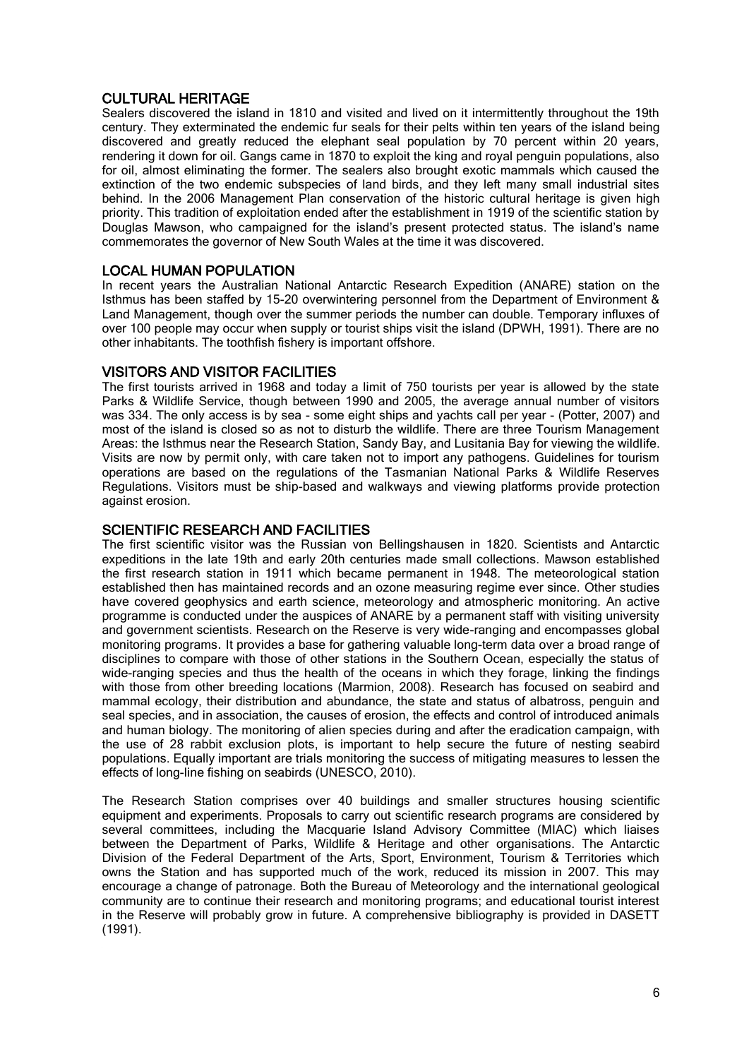## CULTURAL HERITAGE

Sealers discovered the island in 1810 and visited and lived on it intermittently throughout the 19th century. They exterminated the endemic fur seals for their pelts within ten years of the island being discovered and greatly reduced the elephant seal population by 70 percent within 20 years, rendering it down for oil. Gangs came in 1870 to exploit the king and royal penguin populations, also for oil, almost eliminating the former. The sealers also brought exotic mammals which caused the extinction of the two endemic subspecies of land birds, and they left many small industrial sites behind. In the 2006 Management Plan conservation of the historic cultural heritage is given high priority. This tradition of exploitation ended after the establishment in 1919 of the scientific station by Douglas Mawson, who campaigned for the island's present protected status. The island's name commemorates the governor of New South Wales at the time it was discovered.

### LOCAL HUMAN POPULATION

In recent years the Australian National Antarctic Research Expedition (ANARE) station on the Isthmus has been staffed by 15-20 overwintering personnel from the Department of Environment & Land Management, though over the summer periods the number can double. Temporary influxes of over 100 people may occur when supply or tourist ships visit the island (DPWH, 1991). There are no other inhabitants. The toothfish fishery is important offshore.

### VISITORS AND VISITOR FACILITIES

The first tourists arrived in 1968 and today a limit of 750 tourists per year is allowed by the state Parks & Wildlife Service, though between 1990 and 2005, the average annual number of visitors was 334. The only access is by sea - some eight ships and yachts call per year - (Potter, 2007) and most of the island is closed so as not to disturb the wildlife. There are three Tourism Management Areas: the Isthmus near the Research Station, Sandy Bay, and Lusitania Bay for viewing the wildlife. Visits are now by permit only, with care taken not to import any pathogens. Guidelines for tourism operations are based on the regulations of the Tasmanian National Parks & Wildlife Reserves Regulations. Visitors must be ship-based and walkways and viewing platforms provide protection against erosion.

### SCIENTIFIC RESEARCH AND FACILITIES

The first scientific visitor was the Russian von Bellingshausen in 1820. Scientists and Antarctic expeditions in the late 19th and early 20th centuries made small collections. Mawson established the first research station in 1911 which became permanent in 1948. The meteorological station established then has maintained records and an ozone measuring regime ever since. Other studies have covered geophysics and earth science, meteorology and atmospheric monitoring. An active programme is conducted under the auspices of ANARE by a permanent staff with visiting university and government scientists. Research on the Reserve is very wide-ranging and encompasses global monitoring programs. It provides a base for gathering valuable long-term data over a broad range of disciplines to compare with those of other stations in the Southern Ocean, especially the status of wide-ranging species and thus the health of the oceans in which they forage, linking the findings with those from other breeding locations (Marmion, 2008). Research has focused on seabird and mammal ecology, their distribution and abundance, the state and status of albatross, penguin and seal species, and in association, the causes of erosion, the effects and control of introduced animals and human biology. The monitoring of alien species during and after the eradication campaign, with the use of 28 rabbit exclusion plots, is important to help secure the future of nesting seabird populations. Equally important are trials monitoring the success of mitigating measures to lessen the effects of long-line fishing on seabirds (UNESCO, 2010).

The Research Station comprises over 40 buildings and smaller structures housing scientific equipment and experiments. Proposals to carry out scientific research programs are considered by several committees, including the Macquarie Island Advisory Committee (MIAC) which liaises between the Department of Parks, Wildlife & Heritage and other organisations. The Antarctic Division of the Federal Department of the Arts, Sport, Environment, Tourism & Territories which owns the Station and has supported much of the work, reduced its mission in 2007. This may encourage a change of patronage. Both the Bureau of Meteorology and the international geological community are to continue their research and monitoring programs; and educational tourist interest in the Reserve will probably grow in future. A comprehensive bibliography is provided in DASETT (1991).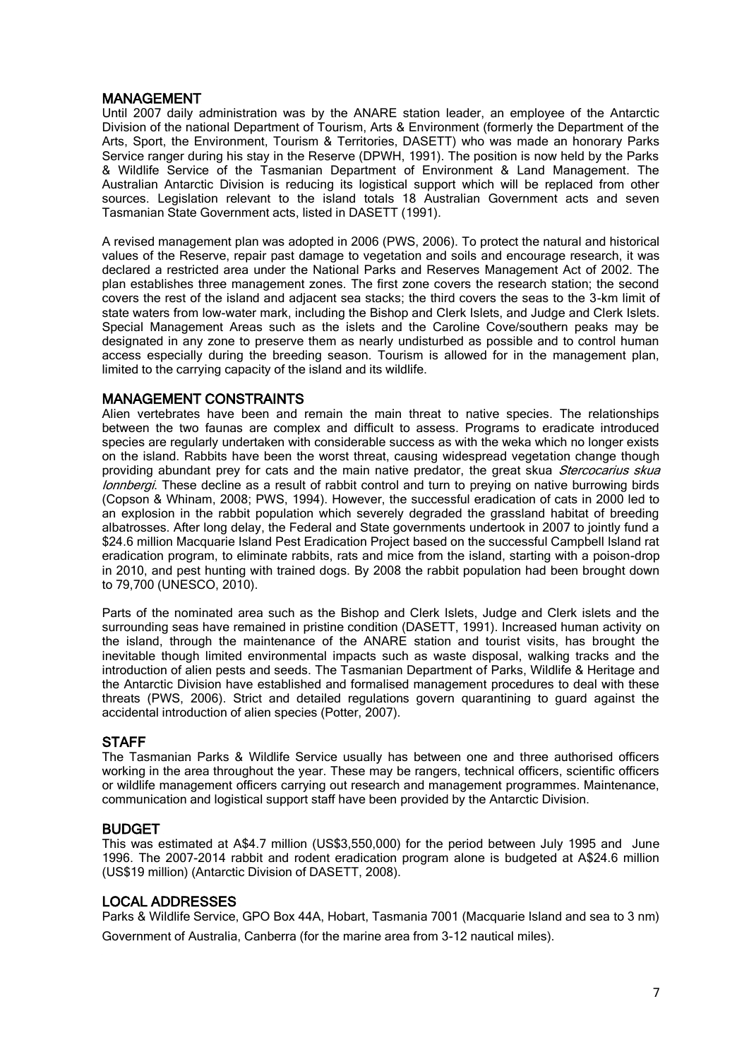### MANAGEMENT

Until 2007 daily administration was by the ANARE station leader, an employee of the Antarctic Division of the national Department of Tourism, Arts & Environment (formerly the Department of the Arts, Sport, the Environment, Tourism & Territories, DASETT) who was made an honorary Parks Service ranger during his stay in the Reserve (DPWH, 1991). The position is now held by the Parks & Wildlife Service of the Tasmanian Department of Environment & Land Management. The Australian Antarctic Division is reducing its logistical support which will be replaced from other sources. Legislation relevant to the island totals 18 Australian Government acts and seven Tasmanian State Government acts, listed in DASETT (1991).

A revised management plan was adopted in 2006 (PWS, 2006). To protect the natural and historical values of the Reserve, repair past damage to vegetation and soils and encourage research, it was declared a restricted area under the National Parks and Reserves Management Act of 2002. The plan establishes three management zones. The first zone covers the research station; the second covers the rest of the island and adjacent sea stacks; the third covers the seas to the 3-km limit of state waters from low-water mark, including the Bishop and Clerk Islets, and Judge and Clerk Islets. Special Management Areas such as the islets and the Caroline Cove/southern peaks may be designated in any zone to preserve them as nearly undisturbed as possible and to control human access especially during the breeding season. Tourism is allowed for in the management plan, limited to the carrying capacity of the island and its wildlife.

### MANAGEMENT CONSTRAINTS

Alien vertebrates have been and remain the main threat to native species. The relationships between the two faunas are complex and difficult to assess. Programs to eradicate introduced species are regularly undertaken with considerable success as with the weka which no longer exists on the island. Rabbits have been the worst threat, causing widespread vegetation change though providing abundant prey for cats and the main native predator, the great skua Stercocarius skua lonnbergi. These decline as a result of rabbit control and turn to preying on native burrowing birds (Copson & Whinam, 2008; PWS, 1994). However, the successful eradication of cats in 2000 led to an explosion in the rabbit population which severely degraded the grassland habitat of breeding albatrosses. After long delay, the Federal and State governments undertook in 2007 to jointly fund a \$24.6 million Macquarie Island Pest Eradication Project based on the successful Campbell Island rat eradication program, to eliminate rabbits, rats and mice from the island, starting with a poison-drop in 2010, and pest hunting with trained dogs. By 2008 the rabbit population had been brought down to 79,700 (UNESCO, 2010).

Parts of the nominated area such as the Bishop and Clerk Islets, Judge and Clerk islets and the surrounding seas have remained in pristine condition (DASETT, 1991). Increased human activity on the island, through the maintenance of the ANARE station and tourist visits, has brought the inevitable though limited environmental impacts such as waste disposal, walking tracks and the introduction of alien pests and seeds. The Tasmanian Department of Parks, Wildlife & Heritage and the Antarctic Division have established and formalised management procedures to deal with these threats (PWS, 2006). Strict and detailed regulations govern quarantining to guard against the accidental introduction of alien species (Potter, 2007).

### **STAFF**

The Tasmanian Parks & Wildlife Service usually has between one and three authorised officers working in the area throughout the year. These may be rangers, technical officers, scientific officers or wildlife management officers carrying out research and management programmes. Maintenance, communication and logistical support staff have been provided by the Antarctic Division.

### BUDGET

This was estimated at A\$4.7 million (US\$3,550,000) for the period between July 1995 and June 1996. The 2007-2014 rabbit and rodent eradication program alone is budgeted at A\$24.6 million (US\$19 million) (Antarctic Division of DASETT, 2008).

### LOCAL ADDRESSES

Parks & Wildlife Service, GPO Box 44A, Hobart, Tasmania 7001 (Macquarie Island and sea to 3 nm) Government of Australia, Canberra (for the marine area from 3-12 nautical miles).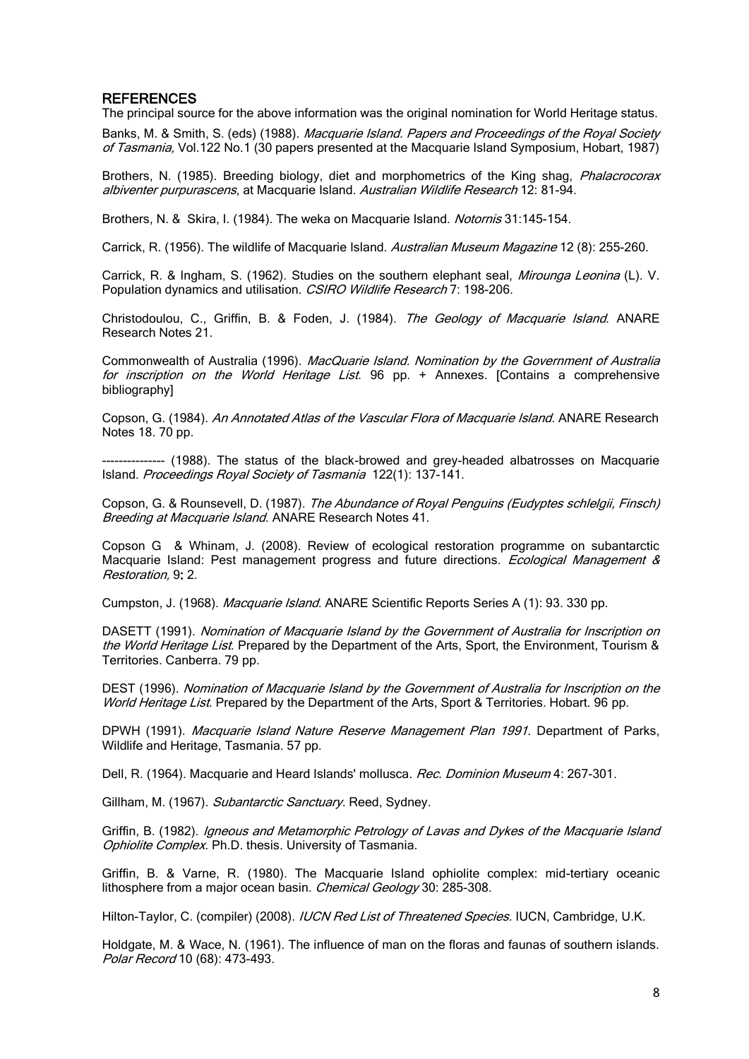### **REFERENCES**

The principal source for the above information was the original nomination for World Heritage status.

Banks, M. & Smith, S. (eds) (1988). Macquarie Island. Papers and Proceedings of the Royal Society of Tasmania, Vol.122 No.1 (30 papers presented at the Macquarie Island Symposium, Hobart, 1987)

Brothers, N. (1985). Breeding biology, diet and morphometrics of the King shag, *Phalacrocorax* albiventer purpurascens, at Macquarie Island. Australian Wildlife Research 12: 81-94.

Brothers, N. & Skira, I. (1984). The weka on Macquarie Island. Notornis 31:145-154.

Carrick, R. (1956). The wildlife of Macquarie Island. Australian Museum Magazine 12 (8): 255-260.

Carrick, R. & Ingham, S. (1962). Studies on the southern elephant seal, *Mirounga Leonina* (L). V. Population dynamics and utilisation. CSIRO Wildlife Research 7: 198-206.

Christodoulou, C., Griffin, B. & Foden, J. (1984). The Geology of Macquarie Island. ANARE Research Notes 21.

Commonwealth of Australia (1996). MacQuarie Island. Nomination by the Government of Australia for inscription on the World Heritage List. 96 pp. + Annexes. [Contains a comprehensive bibliography]

Copson, G. (1984). An Annotated Atlas of the Vascular Flora of Macquarie Island. ANARE Research Notes 18. 70 pp.

--------------- (1988). The status of the black-browed and grey-headed albatrosses on Macquarie Island. Proceedings Royal Society of Tasmania 122(1): 137-141.

Copson, G. & Rounsevell, D. (1987). The Abundance of Royal Penguins (Eudyptes schlelgii, Finsch) Breeding at Macquarie Island. ANARE Research Notes 41.

Copson G & Whinam, J. (2008). Review of ecological restoration programme on subantarctic Macquarie Island: Pest management progress and future directions. *Ecological Management &* [Restoration,](http://www3.interscience.wiley.com/journal/117981119/home) 9: 2.

Cumpston, J. (1968). Macquarie Island. ANARE Scientific Reports Series A (1): 93. 330 pp.

DASETT (1991). Nomination of Macquarie Island by the Government of Australia for Inscription on the World Heritage List. Prepared by the Department of the Arts, Sport, the Environment, Tourism & Territories. Canberra. 79 pp.

DEST (1996). Nomination of Macquarie Island by the Government of Australia for Inscription on the World Heritage List. Prepared by the Department of the Arts, Sport & Territories. Hobart. 96 pp.

DPWH (1991). Macquarie Island Nature Reserve Management Plan 1991. Department of Parks, Wildlife and Heritage, Tasmania. 57 pp.

Dell, R. (1964). Macquarie and Heard Islands' mollusca. Rec. Dominion Museum 4: 267-301.

Gillham, M. (1967). Subantarctic Sanctuary. Reed, Sydney.

Griffin, B. (1982). Igneous and Metamorphic Petrology of Lavas and Dykes of the Macquarie Island Ophiolite Complex. Ph.D. thesis. University of Tasmania.

Griffin, B. & Varne, R. (1980). The Macquarie Island ophiolite complex: mid-tertiary oceanic lithosphere from a major ocean basin. Chemical Geology 30: 285-308.

Hilton-Taylor, C. (compiler) (2008). *IUCN Red List of Threatened Species*. IUCN, Cambridge, U.K.

Holdgate, M. & Wace, N. (1961). The influence of man on the floras and faunas of southern islands. Polar Record 10 (68): 473-493.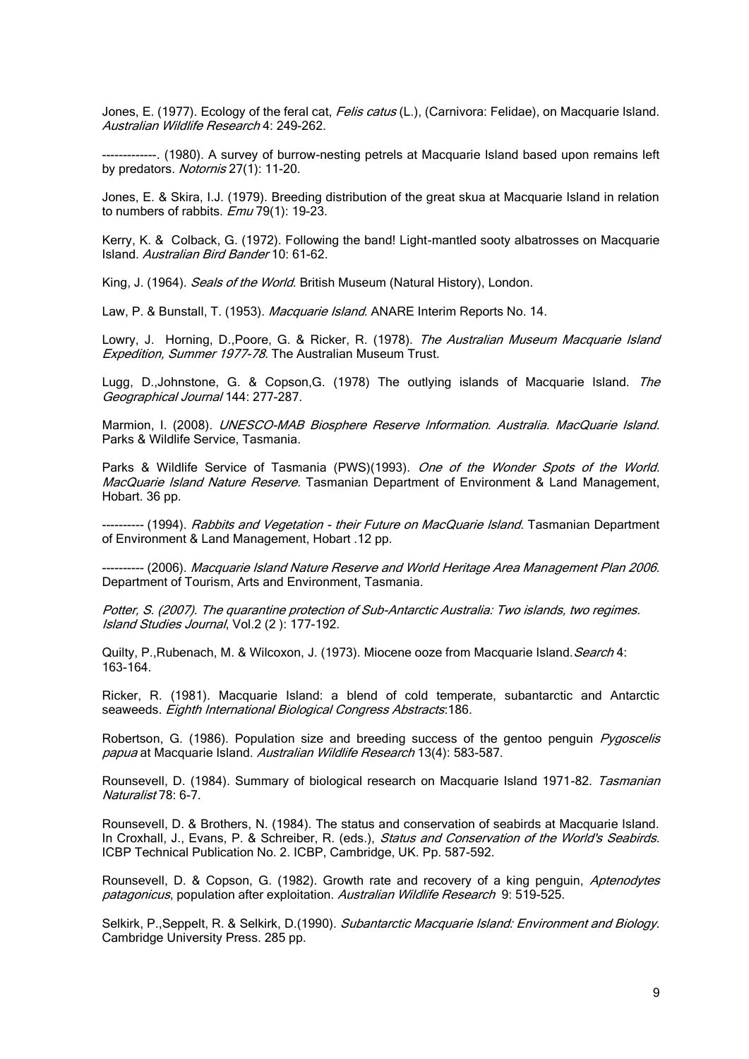Jones, E. (1977). Ecology of the feral cat, *Felis catus* (L.), (Carnivora: Felidae), on Macquarie Island. Australian Wildlife Research 4: 249-262.

-------------. (1980). A survey of burrow-nesting petrels at Macquarie Island based upon remains left by predators. Notornis 27(1): 11-20.

Jones, E. & Skira, I.J. (1979). Breeding distribution of the great skua at Macquarie Island in relation to numbers of rabbits.  $Emu$  79(1): 19-23.

Kerry, K. & Colback, G. (1972). Following the band! Light-mantled sooty albatrosses on Macquarie Island. Australian Bird Bander 10: 61-62.

King, J. (1964). Seals of the World. British Museum (Natural History). London.

Law, P. & Bunstall, T. (1953). Macquarie Island. ANARE Interim Reports No. 14.

Lowry, J. Horning, D.,Poore, G. & Ricker, R. (1978). The Australian Museum Macquarie Island Expedition, Summer 1977-78. The Australian Museum Trust.

Lugg, D.,Johnstone, G. & Copson, G. (1978) The outlying islands of Macquarie Island. The Geographical Journal 144: 277-287.

Marmion, I. (2008). UNESCO-MAB Biosphere Reserve Information. Australia. MacQuarie Island. Parks & Wildlife Service, Tasmania.

Parks & Wildlife Service of Tasmania (PWS)(1993). One of the Wonder Spots of the World. MacQuarie Island Nature Reserve. Tasmanian Department of Environment & Land Management, Hobart. 36 pp.

---------- (1994). Rabbits and Vegetation - their Future on MacQuarie Island. Tasmanian Department of Environment & Land Management, Hobart .12 pp.

---------- (2006). Macquarie Island Nature Reserve and World Heritage Area Management Plan 2006. Department of Tourism, Arts and Environment, Tasmania.

Potter, S. (2007). The quarantine protection of Sub-Antarctic Australia: Two islands, two regimes. Island Studies Journal, Vol.2 (2 ): 177-192.

Quilty, P., Rubenach, M. & Wilcoxon, J. (1973). Miocene ooze from Macquarie Island. Search 4: 163-164.

Ricker, R. (1981). Macquarie Island: a blend of cold temperate, subantarctic and Antarctic seaweeds. Eighth International Biological Congress Abstracts: 186.

Robertson, G. (1986). Population size and breeding success of the gentoo penguin *Pygoscelis* papua at Macquarie Island. Australian Wildlife Research 13(4): 583-587.

Rounsevell, D. (1984). Summary of biological research on Macquarie Island 1971-82. Tasmanian Naturalist 78: 6-7.

Rounsevell, D. & Brothers, N. (1984). The status and conservation of seabirds at Macquarie Island. In Croxhall, J., Evans, P. & Schreiber, R. (eds.), Status and Conservation of the World's Seabirds. ICBP Technical Publication No. 2. ICBP, Cambridge, UK. Pp. 587-592.

Rounsevell, D. & Copson, G. (1982). Growth rate and recovery of a king penguin, Aptenodytes patagonicus, population after exploitation. Australian Wildlife Research 9: 519-525.

Selkirk, P., Seppelt, R. & Selkirk, D.(1990). Subantarctic Macquarie Island: Environment and Biology. Cambridge University Press. 285 pp.